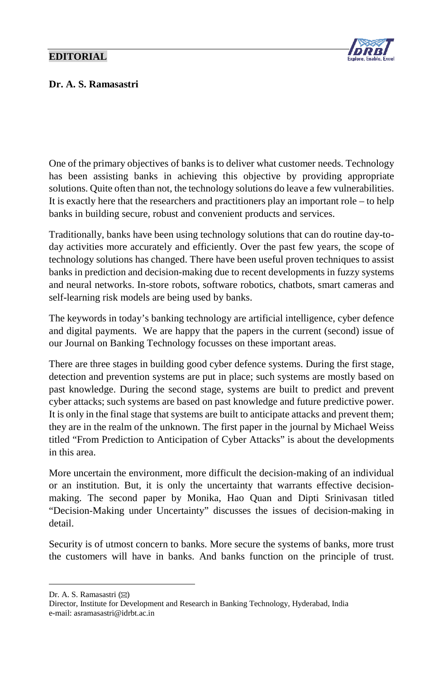## **EDITORIAL**



## Dr. A. S. Ramasastri

One of the primary objectives of banks is to deliver what customer needs. Technology has been assisting banks in achieving this objective by providing appropriate solutions. Quite often than not, the technology solutions do leave a few vulnerabilities. It is exactly here that the researchers and practitioners play an important role – to help banks in building secure, robust and convenient products and services.

Traditionally, banks have been using technology solutions that can do routine day-today activities more accurately and efficiently. Over the past few years, the scope of technology solutions has changed. There have been useful proven techniques to assist banks in prediction and decision-making due to recent developments in fuzzy systems and neural networks. In-store robots, software robotics, chatbots, smart cameras and self-learning risk models are being used by banks.

The keywords in today's banking technology are artificial intelligence, cyber defence and digital payments. We are happy that the papers in the current (second) issue of our Journal on Banking Technology focusses on these important areas.

There are three stages in building good cyber defence systems. During the first stage, detection and prevention systems are put in place; such systems are mostly based on past knowledge. During the second stage, systems are built to predict and prevent cyber attacks; such systems are based on past knowledge and future predictive power. It is only in the final stage that systems are built to anticipate attacks and prevent them; they are in the realm of the unknown. The first paper in the journal by Michael Weiss titled "From Prediction to Anticipation of Cyber Attacks" is about the developments in this area.

More uncertain the environment, more difficult the decision-making of an individual or an institution. But, it is only the uncertainty that warrants effective decisionmaking. The second paper by Monika, Hao Quan and Dipti Srinivasan titled "Decision-Making under Uncertainty" discusses the issues of decision-making in detail.

Security is of utmost concern to banks. More secure the systems of banks, more trust the customers will have in banks. And banks function on the principle of trust.

<span id="page-0-0"></span>Dr. A. S. Ramasastri ( $\boxtimes$ )

 $\overline{a}$ 

Director, Institute for Development and Research in Banking Technology, Hyderabad, India e-mail: asramasastri@idrbt.ac.in